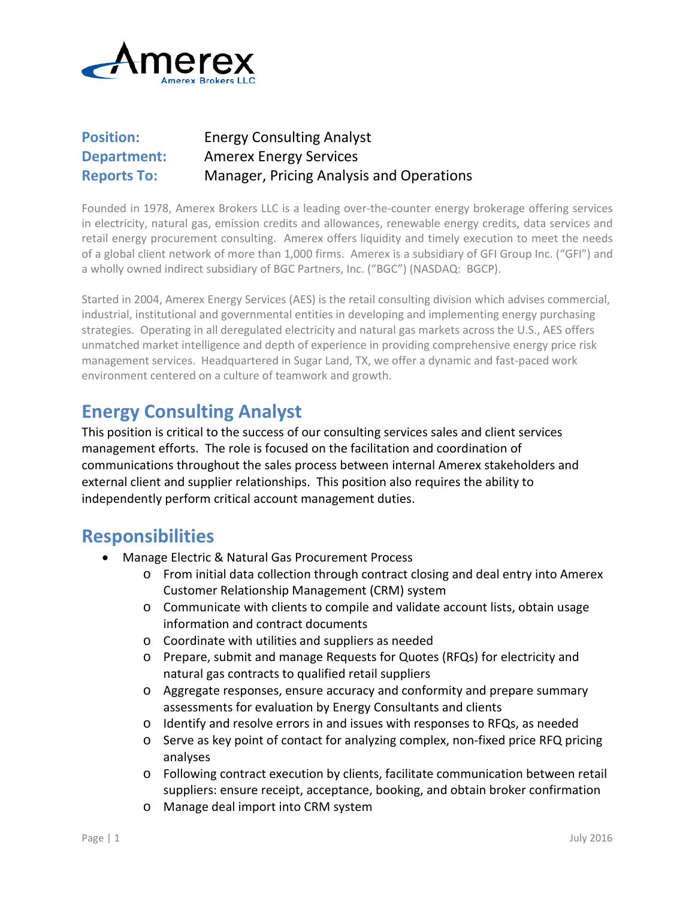

### **Position:** Energy Consulting Analyst **Department:** Amerex Energy Services **Reports To:** Manager, Pricing Analysis and Operations

Founded in 1978, Amerex Brokers LLC is a leading over-the-counter energy brokerage offering services in electricity, natural gas, emission credits and allowances, renewable energy credits, data services and retail energy procurement consulting. Amerex offers liquidity and timely execution to meet the needs of a global client network of more than 1,000 firms. Amerex is a subsidiary of GFI Group Inc. ("GFI") and a wholly owned indirect subsidiary of BGC Partners, Inc. ("BGC") (NASDAQ: BGCP).

Started in 2004, Amerex Energy Services (AES) is the retail consulting division which advises commercial, industrial, institutional and governmental entities in developing and implementing energy purchasing strategies. Operating in all deregulated electricity and natural gas markets across the U.S., AES offers unmatched market intelligence and depth of experience in providing comprehensive energy price risk management services. Headquartered in Sugar Land, TX, we offer a dynamic and fast-paced work environment centered on a culture of teamwork and growth.

# **Energy Consulting Analyst**

This position is critical to the success of our consulting services sales and client services management efforts. The role is focused on the facilitation and coordination of communications throughout the sales process between internal Amerex stakeholders and external client and supplier relationships. This position also requires the ability to independently perform critical account management duties.

## **Responsibilities**

- Manage Electric & Natural Gas Procurement Process
	- o From initial data collection through contract closing and deal entry into Amerex Customer Relationship Management (CRM) system
	- o Communicate with clients to compile and validate account lists, obtain usage information and contract documents
	- o Coordinate with utilities and suppliers as needed
	- o Prepare, submit and manage Requests for Quotes (RFQs) for electricity and natural gas contracts to qualified retail suppliers
	- o Aggregate responses, ensure accuracy and conformity and prepare summary assessments for evaluation by Energy Consultants and clients
	- o Identify and resolve errors in and issues with responses to RFQs, as needed
	- o Serve as key point of contact for analyzing complex, non-fixed price RFQ pricing analyses
	- o Following contract execution by clients, facilitate communication between retail suppliers: ensure receipt, acceptance, booking, and obtain broker confirmation
	- o Manage deal import into CRM system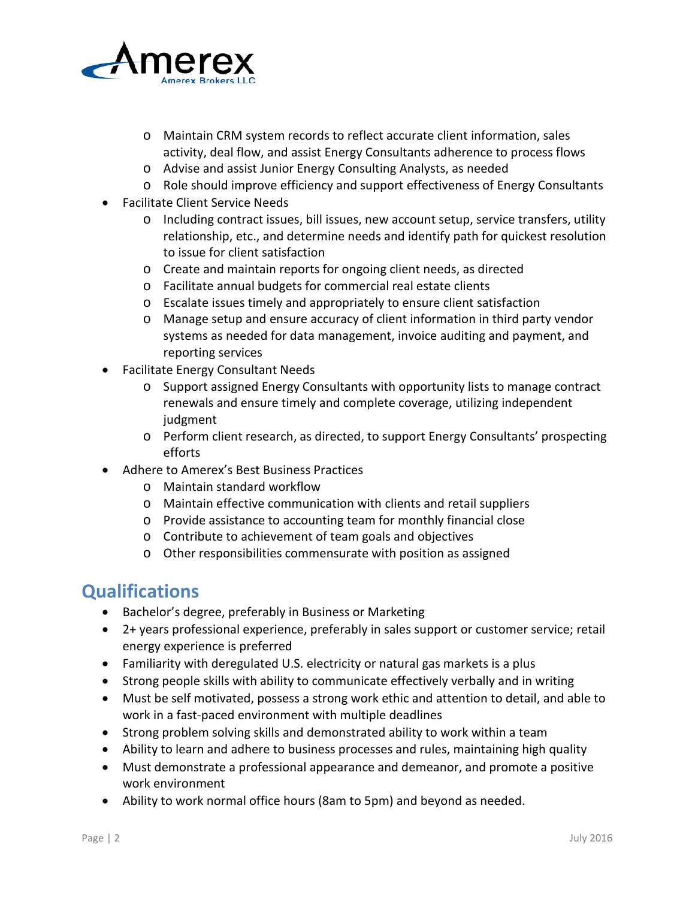

- o Maintain CRM system records to reflect accurate client information, sales activity, deal flow, and assist Energy Consultants adherence to process flows
- o Advise and assist Junior Energy Consulting Analysts, as needed
- o Role should improve efficiency and support effectiveness of Energy Consultants
- Facilitate Client Service Needs
	- o Including contract issues, bill issues, new account setup, service transfers, utility relationship, etc., and determine needs and identify path for quickest resolution to issue for client satisfaction
	- o Create and maintain reports for ongoing client needs, as directed
	- o Facilitate annual budgets for commercial real estate clients
	- o Escalate issues timely and appropriately to ensure client satisfaction
	- o Manage setup and ensure accuracy of client information in third party vendor systems as needed for data management, invoice auditing and payment, and reporting services
- Facilitate Energy Consultant Needs
	- o Support assigned Energy Consultants with opportunity lists to manage contract renewals and ensure timely and complete coverage, utilizing independent judgment
	- o Perform client research, as directed, to support Energy Consultants' prospecting efforts
- Adhere to Amerex's Best Business Practices
	- o Maintain standard workflow
	- o Maintain effective communication with clients and retail suppliers
	- o Provide assistance to accounting team for monthly financial close
	- o Contribute to achievement of team goals and objectives
	- o Other responsibilities commensurate with position as assigned

## **Qualifications**

- Bachelor's degree, preferably in Business or Marketing
- 2+ years professional experience, preferably in sales support or customer service; retail energy experience is preferred
- Familiarity with deregulated U.S. electricity or natural gas markets is a plus
- Strong people skills with ability to communicate effectively verbally and in writing
- Must be self motivated, possess a strong work ethic and attention to detail, and able to work in a fast-paced environment with multiple deadlines
- Strong problem solving skills and demonstrated ability to work within a team
- Ability to learn and adhere to business processes and rules, maintaining high quality
- Must demonstrate a professional appearance and demeanor, and promote a positive work environment
- Ability to work normal office hours (8am to 5pm) and beyond as needed.